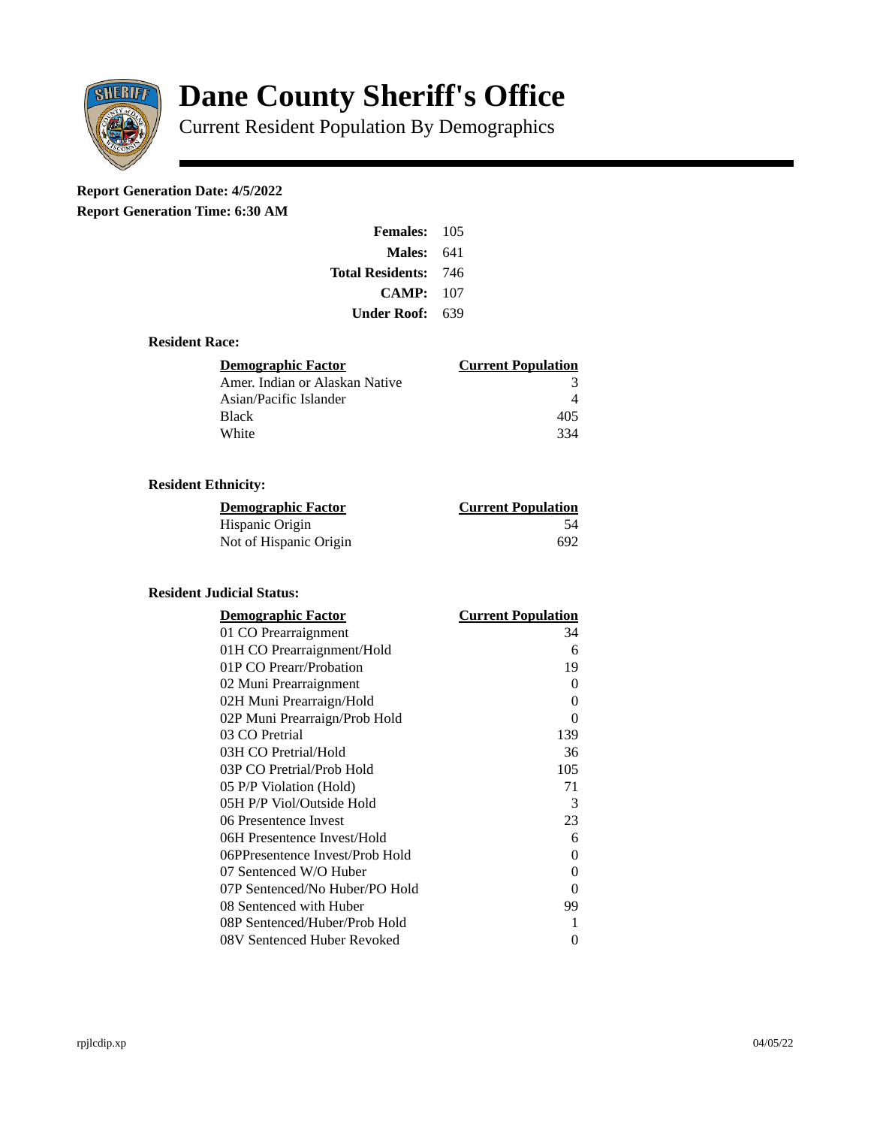

# **Dane County Sheriff's Office**

Current Resident Population By Demographics

## **Report Generation Date: 4/5/2022**

**Report Generation Time: 6:30 AM** 

| <b>Females: 105</b>         |     |
|-----------------------------|-----|
| Males:                      | 641 |
| <b>Total Residents: 746</b> |     |
| CAMP:                       | 107 |
| Under Roof:                 | 639 |

#### **Resident Race:**

| Demographic Factor             | <b>Current Population</b> |
|--------------------------------|---------------------------|
| Amer. Indian or Alaskan Native | з                         |
| Asian/Pacific Islander         |                           |
| <b>Black</b>                   | 405                       |
| White                          | 334                       |

### **Resident Ethnicity:**

| <u>Demographic Factor</u> | <b>Current Population</b> |
|---------------------------|---------------------------|
| Hispanic Origin           | 54                        |
| Not of Hispanic Origin    | 692                       |

#### **Resident Judicial Status:**

| <b>Demographic Factor</b>       | <b>Current Population</b> |
|---------------------------------|---------------------------|
| 01 CO Prearraignment            | 34                        |
| 01H CO Prearraignment/Hold      | 6                         |
| 01P CO Prearr/Probation         | 19                        |
| 02 Muni Prearraignment          | 0                         |
| 02H Muni Prearraign/Hold        | 0                         |
| 02P Muni Prearraign/Prob Hold   | 0                         |
| 03 CO Pretrial                  | 139                       |
| 03H CO Pretrial/Hold            | 36                        |
| 03P CO Pretrial/Prob Hold       | 105                       |
| 05 P/P Violation (Hold)         | 71                        |
| 05H P/P Viol/Outside Hold       | 3                         |
| 06 Presentence Invest           | 23                        |
| 06H Presentence Invest/Hold     | 6                         |
| 06PPresentence Invest/Prob Hold | 0                         |
| 07 Sentenced W/O Huber          | 0                         |
| 07P Sentenced/No Huber/PO Hold  | 0                         |
| 08 Sentenced with Huber         | 99                        |
| 08P Sentenced/Huber/Prob Hold   | 1                         |
| 08V Sentenced Huber Revoked     | 0                         |